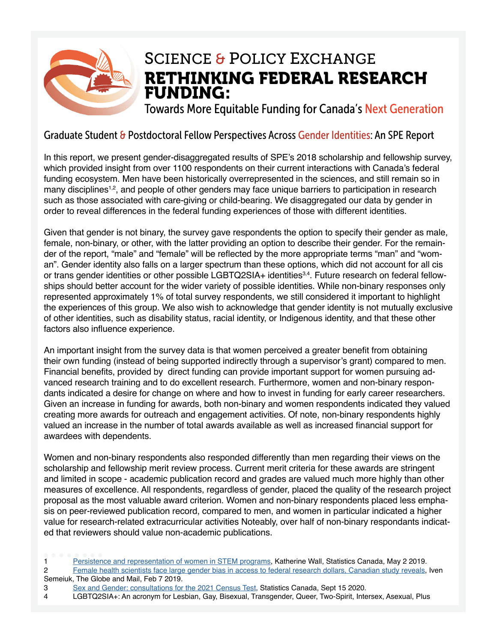

### RETHINKING FEDERAL RESEARCH FUNDING: SCIENCE & POLICY EXCHANGE

Towards More Equitable Funding for Canada's Next Generation

#### Graduate Student & Postdoctoral Fellow Perspectives Across Gender Identities: An SPE Report

In this report, we present gender-disaggregated results of SPE's 2018 scholarship and fellowship survey, which provided insight from over 1100 respondents on their current interactions with Canada's federal funding ecosystem. Men have been historically overrepresented in the sciences, and still remain so in many disciplines<sup>1,2</sup>, and people of other genders may face unique barriers to participation in research such as those associated with care-giving or child-bearing. We disaggregated our data by gender in order to reveal differences in the federal funding experiences of those with different identities.

Given that gender is not binary, the survey gave respondents the option to specify their gender as male, female, non-binary, or other, with the latter providing an option to describe their gender. For the remainder of the report, "male" and "female" will be refected by the more appropriate terms "man" and "woman". Gender identity also falls on a larger spectrum than these options, which did not account for all cis or trans gender identities or other possible LGBTQ2SIA+ identities<sup>3,4</sup>. Future research on federal fellowships should better account for the wider variety of possible identities. While non-binary responses only represented approximately 1% of total survey respondents, we still considered it important to highlight the experiences of this group. We also wish to acknowledge that gender identity is not mutually exclusive of other identities, such as disability status, racial identity, or Indigenous identity, and that these other factors also infuence experience.

An important insight from the survey data is that women perceived a greater beneft from obtaining their own funding (instead of being supported indirectly through a supervisor's grant) compared to men. Financial benefts, provided by direct funding can provide important support for women pursuing advanced research training and to do excellent research. Furthermore, women and non-binary respondants indicated a desire for change on where and how to invest in funding for early career researchers. Given an increase in funding for awards, both non-binary and women respondents indicated they valued creating more awards for outreach and engagement activities. Of note, non-binary respondents highly valued an increase in the number of total awards available as well as increased fnancial support for awardees with dependents.

Women and non-binary respondents also responded differently than men regarding their views on the scholarship and fellowship merit review process. Current merit criteria for these awards are stringent and limited in scope - academic publication record and grades are valued much more highly than other measures of excellence. All respondents, regardless of gender, placed the quality of the research project proposal as the most valuable award criterion. Women and non-binary respondents placed less emphasis on peer-reviewed publication record, compared to men, and women in particular indicated a higher value for research-related extracurricular activities Noteably, over half of non-binary respondants indicated that reviewers should value non-academic publications.

1 [Persistence and representation of women in STEM programs,](https://www150.statcan.gc.ca/n1/pub/75-006-x/2019001/article/00006-eng.htm) Katherine Wall, Statistics Canada, May 2 2019.

2 [Female health scientists face large gender bias in access to federal research dollars, Canadian study reveals,](https://www.theglobeandmail.com/business/technology/science/article-female-health-scientists-face-large-gender-gap-in-access-to-federal/) Iven Semeiuk, The Globe and Mail, Feb 7 2019.

3 [Sex and Gender: consultations for the 2021 Census Test](https://www12.statcan.gc.ca/census-recensement/2021/road2021-chemin2021/fs-fi/sex-and-gender.cfm), Statistics Canada, Sept 15 2020.

<sup>4</sup> LGBTQ2SIA+: An acronym for Lesbian, Gay, Bisexual, Transgender, Queer, Two-Spirit, Intersex, Asexual, Plus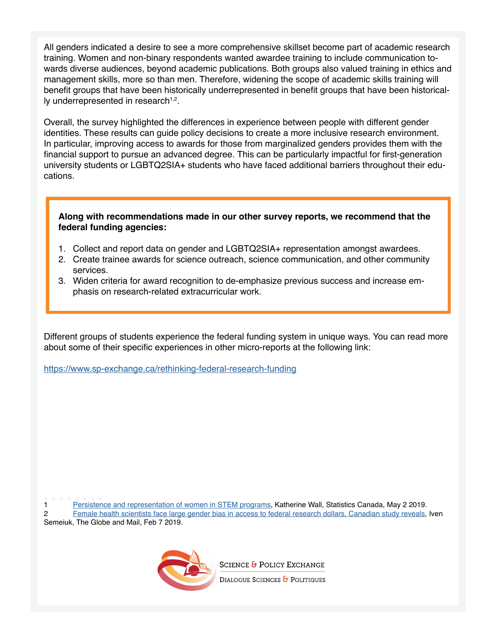All genders indicated a desire to see a more comprehensive skillset become part of academic research training. Women and non-binary respondents wanted awardee training to include communication towards diverse audiences, beyond academic publications. Both groups also valued training in ethics and management skills, more so than men. Therefore, widening the scope of academic skills training will beneft groups that have been historically underrepresented in beneft groups that have been historical-Iv underrepresented in research $1,2$ .

Overall, the survey highlighted the differences in experience between people with different gender identities. These results can guide policy decisions to create a more inclusive research environment. In particular, improving access to awards for those from marginalized genders provides them with the fnancial support to pursue an advanced degree. This can be particularly impactful for frst-generation university students or LGBTQ2SIA+ students who have faced additional barriers throughout their educations.

#### **Along with recommendations made in our other survey reports, we recommend that the federal funding agencies:**

- 1. Collect and report data on gender and LGBTQ2SIA+ representation amongst awardees.
- 2. Create trainee awards for science outreach, science communication, and other community services.
- 3. Widen criteria for award recognition to de-emphasize previous success and increase emphasis on research-related extracurricular work.

Different groups of students experience the federal funding system in unique ways. You can read more about some of their specific experiences in other micro-reports at the following link:

<https://www.sp-exchange.ca/rethinking-federal-research-funding>

1 [Persistence and representation of women in STEM programs,](https://www150.statcan.gc.ca/n1/pub/75-006-x/2019001/article/00006-eng.htm) Katherine Wall, Statistics Canada, May 2 2019. 2 [Female health scientists face large gender bias in access to federal research dollars, Canadian study reveals,](https://www.theglobeandmail.com/business/technology/science/article-female-health-scientists-face-large-gender-gap-in-access-to-federal/) Iven Semeiuk, The Globe and Mail, Feb 7 2019.



**SCIENCE & POLICY EXCHANGE** 

DIALOGUE SCIENCES & POLITIQUES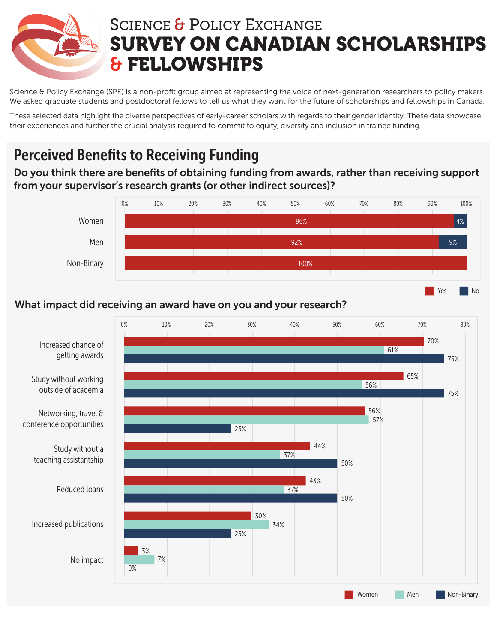

Science & Policy Exchange (SPE) is a non-profit group aimed at representing the voice of next-generation researchers to policy makers. We asked graduate students and postdoctoral fellows to tell us what they want for the future of scholarships and fellowships in Canada.

These selected data highlight the diverse perspectives of early-career scholars with regards to their gender identity. These data showcase their experiences and further the crucial analysis required to commit to equity, diversity and inclusion in trainee funding.

# Perceived Benefits to Receiving Funding

Do you think there are benefits of obtaining funding from awards, rather than receiving support from your supervisor's research grants (or other indirect sources)?



Yes No

### What impact did receiving an award have on you and your research?

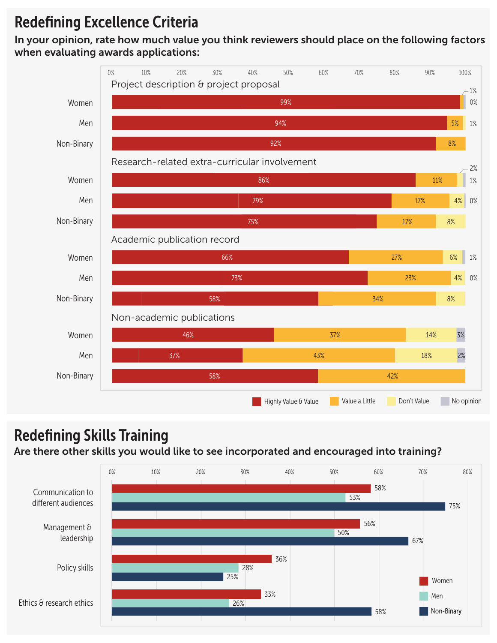### Redefining Excellence Criteria

In your opinion, rate how much value you think reviewers should place on the following factors when evaluating awards applications:



## Redefining Skills Training

#### Are there other skills you would like to see incorporated and encouraged into training?